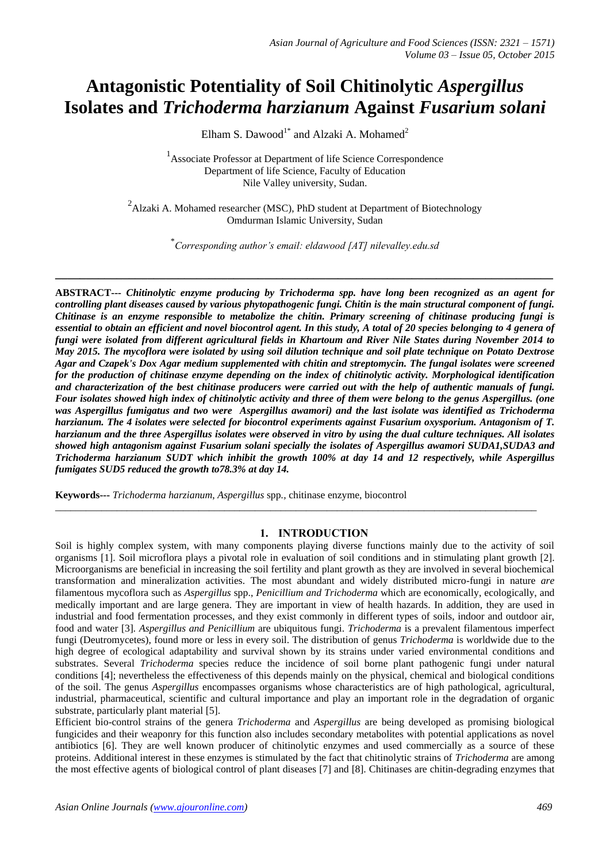# **Antagonistic Potentiality of Soil Chitinolytic** *Aspergillus* **Isolates and** *Trichoderma harzianum* **Against** *Fusarium solani*

Elham S. Dawood<sup>1\*</sup> and Alzaki A. Mohamed<sup>2</sup>

<sup>1</sup> Associate Professor at Department of life Science Correspondence Department of life Science, Faculty of Education Nile Valley university, Sudan.

 $^{2}$ Alzaki A. Mohamed researcher (MSC), PhD student at Department of Biotechnology Omdurman Islamic University, Sudan

\* *Corresponding author's email: eldawood [AT] nilevalley.edu.sd*

**\_\_\_\_\_\_\_\_\_\_\_\_\_\_\_\_\_\_\_\_\_\_\_\_\_\_\_\_\_\_\_\_\_\_\_\_\_\_\_\_\_\_\_\_\_\_\_\_\_\_\_\_\_\_\_\_\_\_\_\_\_\_\_\_\_\_\_\_\_\_\_\_\_\_\_\_\_\_\_\_\_**

**ABSTRACT---** *Chitinolytic enzyme producing by Trichoderma spp. have long been recognized as an agent for controlling plant diseases caused by various phytopathogenic fungi. Chitin is the main structural component of fungi. Chitinase is an enzyme responsible to metabolize the chitin. Primary screening of chitinase producing fungi is essential to obtain an efficient and novel biocontrol agent. In this study, A total of 20 species belonging to 4 genera of fungi were isolated from different agricultural fields in Khartoum and River Nile States during November 2014 to May 2015. The mycoflora were isolated by using soil dilution technique and soil plate technique on Potato Dextrose Agar and Czapek's Dox Agar medium supplemented with chitin and streptomycin. The fungal isolates were screened for the production of chitinase enzyme depending on the index of chitinolytic activity. Morphological identification and characterization of the best chitinase producers were carried out with the help of authentic manuals of fungi. Four isolates showed high index of chitinolytic activity and three of them were belong to the genus Aspergillus. (one was Aspergillus fumigatus and two were Aspergillus awamori) and the last isolate was identified as Trichoderma harzianum. The 4 isolates were selected for biocontrol experiments against Fusarium oxysporium. Antagonism of T. harzianum and the three Aspergillus isolates were observed in vitro by using the dual culture techniques. All isolates showed high antagonism against Fusarium solani specially the isolates of Aspergillus awamori SUDA1,SUDA3 and Trichoderma harzianum SUDT which inhibit the growth 100% at day 14 and 12 respectively, while Aspergillus fumigates SUD5 reduced the growth to78.3% at day 14.*

**Keywords---** *Trichoderma harzianum*, *Aspergillus* spp*.,* chitinase enzyme, biocontrol

### **1. INTRODUCTION**

\_\_\_\_\_\_\_\_\_\_\_\_\_\_\_\_\_\_\_\_\_\_\_\_\_\_\_\_\_\_\_\_\_\_\_\_\_\_\_\_\_\_\_\_\_\_\_\_\_\_\_\_\_\_\_\_\_\_\_\_\_\_\_\_\_\_\_\_\_\_\_\_\_\_\_\_\_\_\_\_\_\_\_\_\_\_\_\_\_\_\_\_\_\_

Soil is highly complex system, with many components playing diverse functions mainly due to the activity of soil organisms [1]. Soil microflora plays a pivotal role in evaluation of soil conditions and in stimulating plant growth [2]. Microorganisms are beneficial in increasing the soil fertility and plant growth as they are involved in several biochemical transformation and mineralization activities. The most abundant and widely distributed micro-fungi in nature *are*  filamentous mycoflora such as *Aspergillus* spp., *Penicillium and Trichoderma* which are economically, ecologically, and medically important and are large genera. They are important in view of health hazards. In addition, they are used in industrial and food fermentation processes, and they exist commonly in different types of soils, indoor and outdoor air, food and water [3]*. Aspergillus and Penicillium* are ubiquitous fungi. *Trichoderma* is a prevalent filamentous imperfect fungi (Deutromycetes), found more or less in every soil. The distribution of genus *Trichoderma* is worldwide due to the high degree of ecological adaptability and survival shown by its strains under varied environmental conditions and substrates. Several *Trichoderma* species reduce the incidence of soil borne plant pathogenic fungi under natural conditions [4]; nevertheless the effectiveness of this depends mainly on the physical, chemical and biological conditions of the soil. The genus *Aspergillus* encompasses organisms whose characteristics are of high pathological, agricultural, industrial, pharmaceutical, scientific and cultural importance and play an important role in the degradation of organic substrate, particularly plant material [5].

Efficient bio-control strains of the genera *Trichoderma* and *Aspergillus* are being developed as promising biological fungicides and their weaponry for this function also includes secondary metabolites with potential applications as novel antibiotics [6]. They are well known producer of chitinolytic enzymes and used commercially as a source of these proteins. Additional interest in these enzymes is stimulated by the fact that chitinolytic strains of *Trichoderma* are among the most effective agents of biological control of plant diseases [7] and [8]. Chitinases are chitin-degrading enzymes that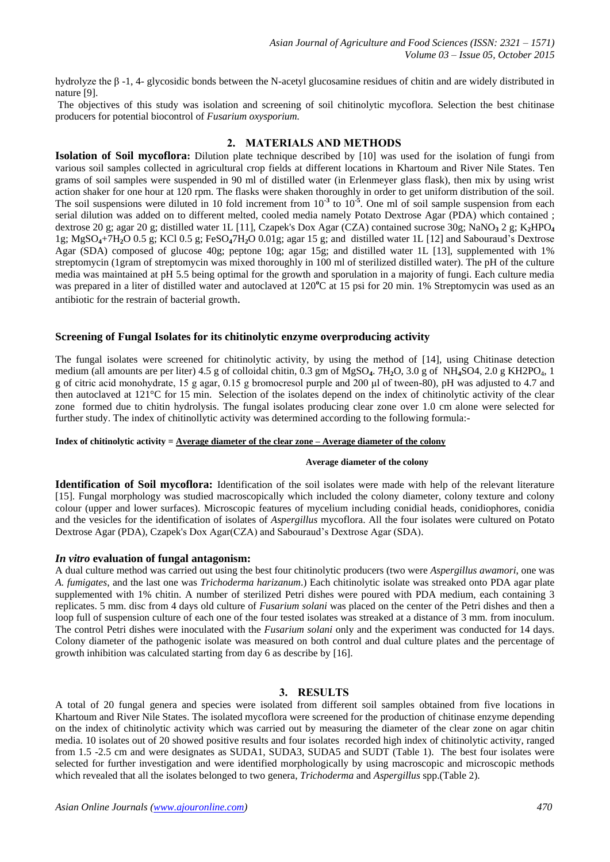hydrolyze the β -1, 4- glycosidic bonds between the N-acetyl glucosamine residues of chitin and are widely distributed in nature [9].

The objectives of this study was isolation and screening of soil chitinolytic mycoflora. Selection the best chitinase producers for potential biocontrol of *Fusarium oxysporium.*

## **2. MATERIALS AND METHODS**

**Isolation of Soil mycoflora:** Dilution plate technique described by [10] was used for the isolation of fungi from various soil samples collected in agricultural crop fields at different locations in Khartoum and River Nile States. Ten grams of soil samples were suspended in 90 ml of distilled water (in Erlenmeyer glass flask), then mix by using wrist action shaker for one hour at 120 rpm. The flasks were shaken thoroughly in order to get uniform distribution of the soil. The soil suspensions were diluted in 10 fold increment from 10<sup>-3</sup> to 10<sup>-5</sup>. One ml of soil sample suspension from each serial dilution was added on to different melted, cooled media namely Potato Dextrose Agar (PDA) which contained ; dextrose 20 g; agar 20 g; distilled water 1L [11], Czapek's Dox Agar (CZA) contained sucrose 30g; NaNO**<sup>3</sup>** 2 g; K**2**HPO**<sup>4</sup>** 1g; MgSO**4**+7H**2**O 0.5 g; KCl 0.5 g; FeSO**4**7H**2**O 0.01g; agar 15 g; and distilled water 1L [12] and Sabouraud's Dextrose Agar (SDA) composed of glucose 40g; peptone 10g; agar 15g; and distilled water 1L [13], supplemented with 1% streptomycin (1gram of streptomycin was mixed thoroughly in 100 ml of sterilized distilled water). The pH of the culture media was maintained at pH 5.5 being optimal for the growth and sporulation in a majority of fungi. Each culture media was prepared in a liter of distilled water and autoclaved at 120<sup>o</sup>C at 15 psi for 20 min. 1% Streptomycin was used as an antibiotic for the restrain of bacterial growth.

### **Screening of Fungal Isolates for its chitinolytic enzyme overproducing activity**

The fungal isolates were screened for chitinolytic activity, by using the method of [14], using Chitinase detection medium (all amounts are per liter) 4.5 g of colloidal chitin, 0.3 gm of MgSO**4**. 7H**2**O, 3.0 g of NH**4**SO4, 2.0 g KH2PO4, 1 g of citric acid monohydrate, 15 g agar, 0.15 g bromocresol purple and 200 μl of tween-80), pH was adjusted to 4.7 and then autoclaved at 121°C for 15 min. Selection of the isolates depend on the index of chitinolytic activity of the clear zone formed due to chitin hydrolysis. The fungal isolates producing clear zone over 1.0 cm alone were selected for further study. The index of chitinollytic activity was determined according to the following formula:-

#### **Index of chitinolytic activity = Average diameter of the clear zone – Average diameter of the colony**

#### **Average diameter of the colony**

**Identification of Soil mycoflora:** Identification of the soil isolates were made with help of the relevant literature [15]. Fungal morphology was studied macroscopically which included the colony diameter, colony texture and colony colour (upper and lower surfaces). Microscopic features of mycelium including conidial heads, conidiophores, conidia and the vesicles for the identification of isolates of *Aspergillus* mycoflora. All the four isolates were cultured on Potato Dextrose Agar (PDA), Czapek's Dox Agar(CZA) and Sabouraud's Dextrose Agar (SDA).

### *In vitro* **evaluation of fungal antagonism:**

A dual culture method was carried out using the best four chitinolytic producers (two were *Aspergillus awamori*, one was *A. fumigates*, and the last one was *Trichoderma harizanum*.) Each chitinolytic isolate was streaked onto PDA agar plate supplemented with 1% chitin. A number of sterilized Petri dishes were poured with PDA medium, each containing 3 replicates. 5 mm. disc from 4 days old culture of *Fusarium solani* was placed on the center of the Petri dishes and then a loop full of suspension culture of each one of the four tested isolates was streaked at a distance of 3 mm. from inoculum. The control Petri dishes were inoculated with the *Fusarium solani* only and the experiment was conducted for 14 days. Colony diameter of the pathogenic isolate was measured on both control and dual culture plates and the percentage of growth inhibition was calculated starting from day 6 as describe by [16].

### **3. RESULTS**

A total of 20 fungal genera and species were isolated from different soil samples obtained from five locations in Khartoum and River Nile States. The isolated mycoflora were screened for the production of chitinase enzyme depending on the index of chitinolytic activity which was carried out by measuring the diameter of the clear zone on agar chitin media. 10 isolates out of 20 showed positive results and four isolates recorded high index of chitinolytic activity, ranged from 1.5 -2.5 cm and were designates as SUDA1, SUDA3, SUDA5 and SUDT (Table 1). The best four isolates were selected for further investigation and were identified morphologically by using macroscopic and microscopic methods which revealed that all the isolates belonged to two genera, *Trichoderma* and *Aspergillus* spp.(Table 2).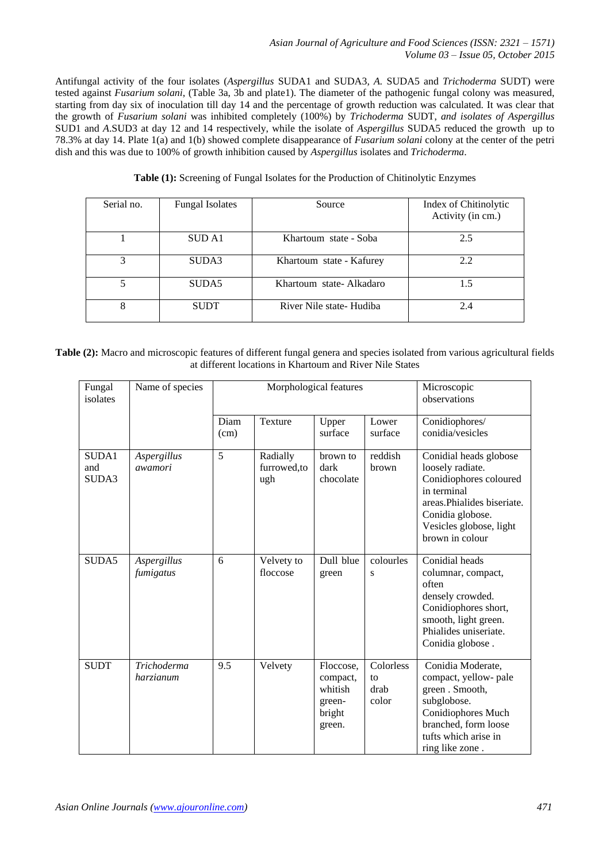Antifungal activity of the four isolates (*Aspergillus* SUDA1 and SUDA3*, A.* SUDA5 and *Trichoderma* SUDT) were tested against *Fusarium solani*, (Table 3a, 3b and plate1). The diameter of the pathogenic fungal colony was measured, starting from day six of inoculation till day 14 and the percentage of growth reduction was calculated. It was clear that the growth of *Fusarium solani* was inhibited completely (100%) by *Trichoderma* SUDT, *and isolates of Aspergillus* SUD1 and *A*.SUD3 at day 12 and 14 respectively, while the isolate of *Aspergillus* SUDA5 reduced the growth up to 78.3% at day 14. Plate 1(a) and 1(b) showed complete disappearance of *Fusarium solani* colony at the center of the petri dish and this was due to 100% of growth inhibition caused by *Aspergillus* isolates and *Trichoderma*.

|  |  |  |  |  |  |  |  | Table (1): Screening of Fungal Isolates for the Production of Chitinolytic Enzymes |
|--|--|--|--|--|--|--|--|------------------------------------------------------------------------------------|
|--|--|--|--|--|--|--|--|------------------------------------------------------------------------------------|

| Serial no. | <b>Fungal Isolates</b> | Source                   | Index of Chitinolytic<br>Activity (in cm.) |
|------------|------------------------|--------------------------|--------------------------------------------|
|            | SUD A1                 | Khartoum state - Soba    | 2.5                                        |
| 3          | SUDA3                  | Khartoum state - Kafurey | 2.2                                        |
| 5          | SUDA5                  | Khartoum state-Alkadaro  | 1.5                                        |
| 8          | <b>SUDT</b>            | River Nile state- Hudiba | 2.4                                        |

**Table (2):** Macro and microscopic features of different fungal genera and species isolated from various agricultural fields at different locations in Khartoum and River Nile States

| Fungal<br>isolates    | Name of species                 |              | Morphological features         | Microscopic<br>observations                                    |                                  |                                                                                                                                                                                      |
|-----------------------|---------------------------------|--------------|--------------------------------|----------------------------------------------------------------|----------------------------------|--------------------------------------------------------------------------------------------------------------------------------------------------------------------------------------|
|                       |                                 | Diam<br>(cm) | Texture                        | Upper<br>surface                                               | Lower<br>surface                 | Conidiophores/<br>conidia/vesicles                                                                                                                                                   |
| SUDA1<br>and<br>SUDA3 | Aspergillus<br>awamori          | 5            | Radially<br>furrowed,to<br>ugh | brown to<br>dark<br>chocolate                                  | reddish<br>brown                 | Conidial heads globose<br>loosely radiate.<br>Conidiophores coloured<br>in terminal<br>areas. Phialides biseriate.<br>Conidia globose.<br>Vesicles globose, light<br>brown in colour |
| SUDA5                 | Aspergillus<br>fumigatus        | 6            | Velvety to<br>floccose         | Dull blue<br>green                                             | colourles<br>S                   | Conidial heads<br>columnar, compact,<br>often<br>densely crowded.<br>Conidiophores short,<br>smooth, light green.<br>Phialides uniseriate.<br>Conidia globose.                       |
| <b>SUDT</b>           | <b>Trichoderma</b><br>harzianum | 9.5          | Velvety                        | Floccose,<br>compact,<br>whitish<br>green-<br>bright<br>green. | Colorless<br>to<br>drab<br>color | Conidia Moderate,<br>compact, yellow- pale<br>green. Smooth,<br>subglobose.<br>Conidiophores Much<br>branched, form loose<br>tufts which arise in<br>ring like zone.                 |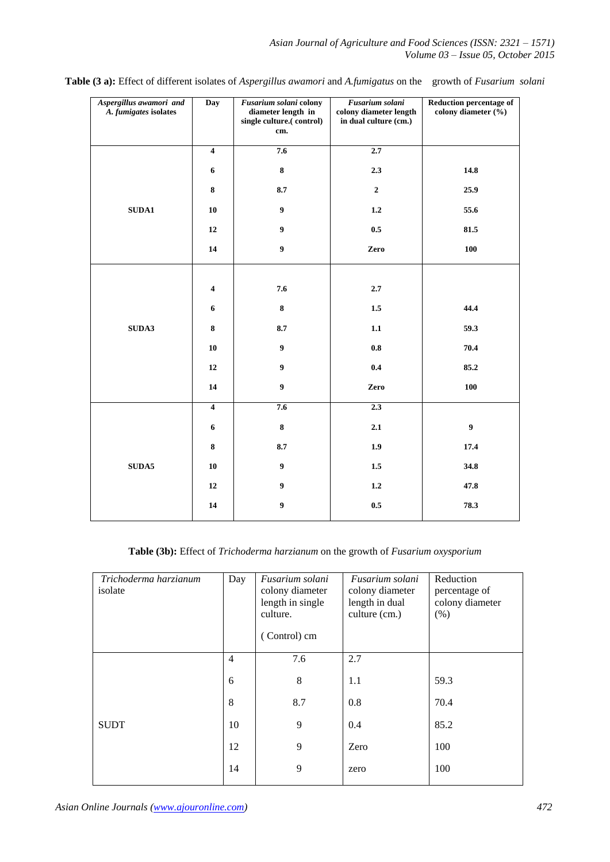| Aspergillus awamori and<br>A. fumigates isolates | <b>Day</b>              | Fusarium solani colony<br>diameter length in<br>single culture.(control)<br>cm. | Fusarium solani<br>colony diameter length<br>in dual culture (cm.) | <b>Reduction percentage of</b><br>colony diameter (%) |
|--------------------------------------------------|-------------------------|---------------------------------------------------------------------------------|--------------------------------------------------------------------|-------------------------------------------------------|
|                                                  | $\overline{\mathbf{4}}$ | 7.6                                                                             | 2.7                                                                |                                                       |
|                                                  | $\boldsymbol{6}$        | $\bf 8$                                                                         | 2.3                                                                | 14.8                                                  |
|                                                  | 8                       | 8.7                                                                             | $\mathbf{2}$                                                       | 25.9                                                  |
| ${\bf S} {\bf U} {\bf D} {\bf A} {\bf 1}$        | ${\bf 10}$              | $\boldsymbol{9}$                                                                | 1.2                                                                | 55.6                                                  |
|                                                  | 12                      | $\boldsymbol{9}$                                                                | 0.5                                                                | 81.5                                                  |
|                                                  | 14                      | $\boldsymbol{9}$                                                                | Zero                                                               | 100                                                   |
|                                                  |                         |                                                                                 |                                                                    |                                                       |
|                                                  | $\overline{\mathbf{4}}$ | 7.6                                                                             | 2.7                                                                |                                                       |
|                                                  | $\boldsymbol{6}$        | $\bf 8$                                                                         | $1.5\,$                                                            | 44.4                                                  |
| SUDA3                                            | $\bf 8$                 | 8.7                                                                             | $1.1\,$                                                            | 59.3                                                  |
|                                                  | ${\bf 10}$              | $\boldsymbol{9}$                                                                | $\bf 0.8$                                                          | 70.4                                                  |
|                                                  | 12                      | $\boldsymbol{9}$                                                                | 0.4                                                                | 85.2                                                  |
|                                                  | 14                      | $\boldsymbol{9}$                                                                | Zero                                                               | 100                                                   |
|                                                  | $\overline{\mathbf{4}}$ | 7.6                                                                             | 2.3                                                                |                                                       |
|                                                  | $\boldsymbol{6}$        | $\bf 8$                                                                         | 2.1                                                                | $\boldsymbol{9}$                                      |
|                                                  | $\bf 8$                 | 8.7                                                                             | 1.9                                                                | 17.4                                                  |
| ${\bf SUDA5}$                                    | 10                      | $\boldsymbol{9}$                                                                | $1.5\,$                                                            | 34.8                                                  |
|                                                  | 12                      | $\boldsymbol{9}$                                                                | 1.2                                                                | 47.8                                                  |
|                                                  | ${\bf 14}$              | $\boldsymbol{9}$                                                                | 0.5                                                                | 78.3                                                  |

**Table (3 a):** Effect of different isolates of *Aspergillus awamori* and *A.fumigatus* on the growth of *Fusarium solani*

# **Table (3b):** Effect of *Trichoderma harzianum* on the growth of *Fusarium oxysporium*

| Trichoderma harzianum<br>isolate | Day            | Fusarium solani<br>colony diameter<br>length in single<br>culture.<br>(Control) cm | Fusarium solani<br>colony diameter<br>length in dual<br>culture (cm.) | Reduction<br>percentage of<br>colony diameter<br>$(\% )$ |
|----------------------------------|----------------|------------------------------------------------------------------------------------|-----------------------------------------------------------------------|----------------------------------------------------------|
|                                  | $\overline{4}$ | 7.6                                                                                | 2.7                                                                   |                                                          |
|                                  | 6              | 8                                                                                  | 1.1                                                                   | 59.3                                                     |
|                                  | 8              | 8.7                                                                                | 0.8                                                                   | 70.4                                                     |
| <b>SUDT</b>                      | 10             | 9                                                                                  | 0.4                                                                   | 85.2                                                     |
|                                  | 12             | 9                                                                                  | Zero                                                                  | 100                                                      |
|                                  | 14             | 9                                                                                  | zero                                                                  | 100                                                      |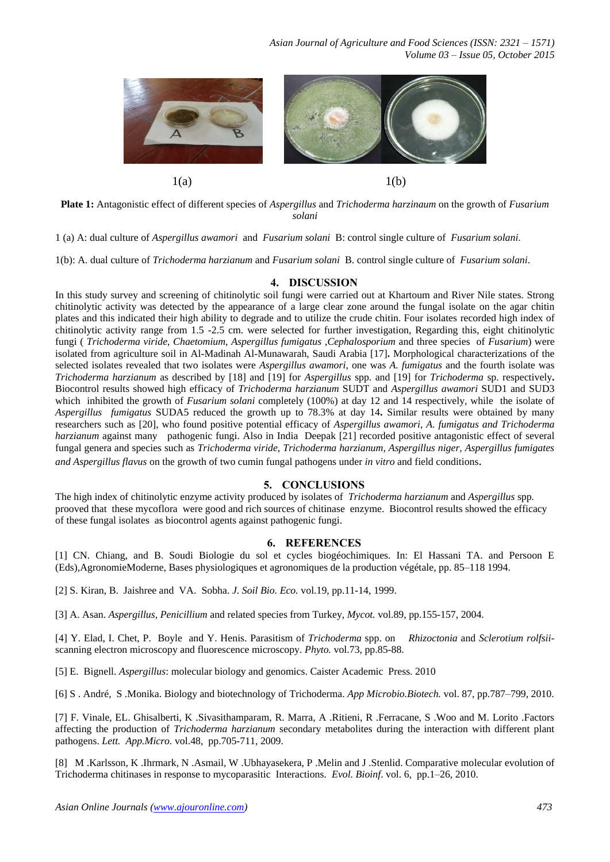

**Plate 1:** Antagonistic effect of different species of *Aspergillus* and *Trichoderma harzinaum* on the growth of *Fusarium solani*

1 (a) A: dual culture of *Aspergillus awamori* and *Fusarium solani* B: control single culture of *Fusarium solani*.

1(b): A. dual culture of *Trichoderma harzianum* and *Fusarium solani* B. control single culture of *Fusarium solani*.

#### **4. DISCUSSION**

In this study survey and screening of chitinolytic soil fungi were carried out at Khartoum and River Nile states. Strong chitinolytic activity was detected by the appearance of a large clear zone around the fungal isolate on the agar chitin plates and this indicated their high ability to degrade and to utilize the crude chitin. Four isolates recorded high index of chitinolytic activity range from 1.5 -2.5 cm. were selected for further investigation, Regarding this, eight chitinolytic fungi ( *Trichoderma viride*, *Chaetomium*, *Aspergillus fumigatus* ,*Cephalosporium* and three species of *Fusarium*) were isolated from agriculture soil in Al-Madinah Al-Munawarah, Saudi Arabia [17]**.** Morphological characterizations of the selected isolates revealed that two isolates were *Aspergillus awamori*, one was *A. fumigatus* and the fourth isolate was *Trichoderma harzianum* as described by [18] and [19] for *Aspergillus* spp. and [19] for *Trichoderma* sp. respectively**.**  Biocontrol results showed high efficacy of *Trichoderma harzianum* SUDT and *Aspergillus awamori* SUD1 and SUD3 which inhibited the growth of *Fusarium solani* completely (100%) at day 12 and 14 respectively, while the isolate of *Aspergillus fumigatus* SUDA5 reduced the growth up to 78.3% at day 14**.** Similar results were obtained by many researchers such as [20], who found positive potential efficacy of *Aspergillus awamori*, *A. fumigatus and Trichoderma harzianum* against many pathogenic fungi. Also in India Deepak [21] recorded positive antagonistic effect of several fungal genera and species such as *Trichoderma viride, Trichoderma harzianum, Aspergillus niger, Aspergillus fumigates and Aspergillus flavus* on the growth of two cumin fungal pathogens under *in vitro* and field conditions.

### **5. CONCLUSIONS**

The high index of chitinolytic enzyme activity produced by isolates of *Trichoderma harzianum* and *Aspergillus* spp*.* prooved that these mycoflora were good and rich sources of chitinase enzyme. Biocontrol results showed the efficacy of these fungal isolates as biocontrol agents against pathogenic fungi.

# **6. REFERENCES**

[1] CN. Chiang, and B. Soudi Biologie du sol et cycles biogéochimiques. In: El Hassani TA. and Persoon E (Eds),AgronomieModerne, Bases physiologiques et agronomiques de la production végétale, pp. 85–118 1994.

[2] S. Kiran, B. Jaishree and VA. Sobha. *J. Soil Bio. Eco.* vol.19, pp.11-14, 1999.

[3] A. Asan. *Aspergillus, Penicillium* and related species from Turkey, *Mycot.* vol.89, pp.155-157, 2004.

[4] Y. Elad, I. Chet, P. Boyle and Y. Henis. Parasitism of *Trichoderma* spp. on *Rhizoctonia* and *Sclerotium rolfsii*scanning electron microscopy and fluorescence microscopy. *Phyto.* vol.73, pp.85-88.

[5] E. Bignell. *Aspergillus*: molecular biology and genomics. Caister Academic Press. 2010

[6] S . André, S .Monika. Biology and biotechnology of Trichoderma. *App Microbio.Biotech.* vol. 87, pp.787–799, 2010.

[7] F. Vinale, EL. Ghisalberti, K .Sivasithamparam, R. Marra, A .Ritieni, R .Ferracane, S .Woo and M. Lorito .Factors affecting the production of *Trichoderma harzianum* secondary metabolites during the interaction with different plant pathogens. *Lett. App.Micro.* vol.48, pp.705-711, 2009.

[8] M .Karlsson, K .Ihrmark, N .Asmail, W .Ubhayasekera, P .Melin and J .Stenlid. Comparative molecular evolution of Trichoderma chitinases in response to mycoparasitic Interactions*. Evol. Bioinf*. vol. 6, pp.1–26, 2010.